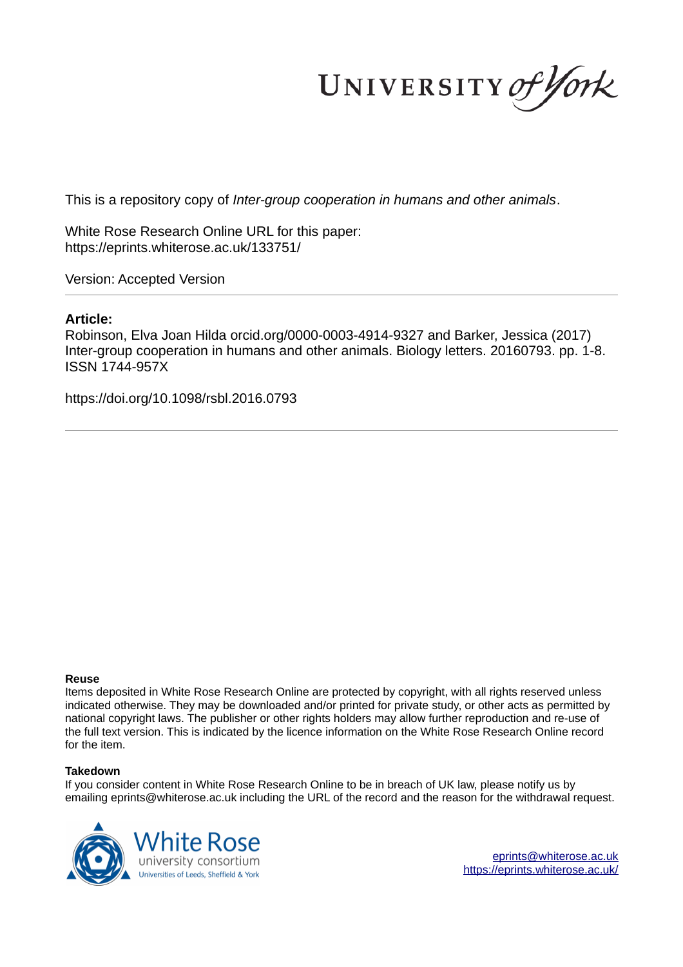UNIVERSITY of York

This is a repository copy of *Inter-group cooperation in humans and other animals*.

White Rose Research Online URL for this paper: https://eprints.whiterose.ac.uk/133751/

Version: Accepted Version

### **Article:**

Robinson, Elva Joan Hilda orcid.org/0000-0003-4914-9327 and Barker, Jessica (2017) Inter-group cooperation in humans and other animals. Biology letters. 20160793. pp. 1-8. ISSN 1744-957X

https://doi.org/10.1098/rsbl.2016.0793

#### **Reuse**

Items deposited in White Rose Research Online are protected by copyright, with all rights reserved unless indicated otherwise. They may be downloaded and/or printed for private study, or other acts as permitted by national copyright laws. The publisher or other rights holders may allow further reproduction and re-use of the full text version. This is indicated by the licence information on the White Rose Research Online record for the item.

#### **Takedown**

If you consider content in White Rose Research Online to be in breach of UK law, please notify us by emailing eprints@whiterose.ac.uk including the URL of the record and the reason for the withdrawal request.



eprints@whiterose.ac.uk https://eprints.whiterose.ac.uk/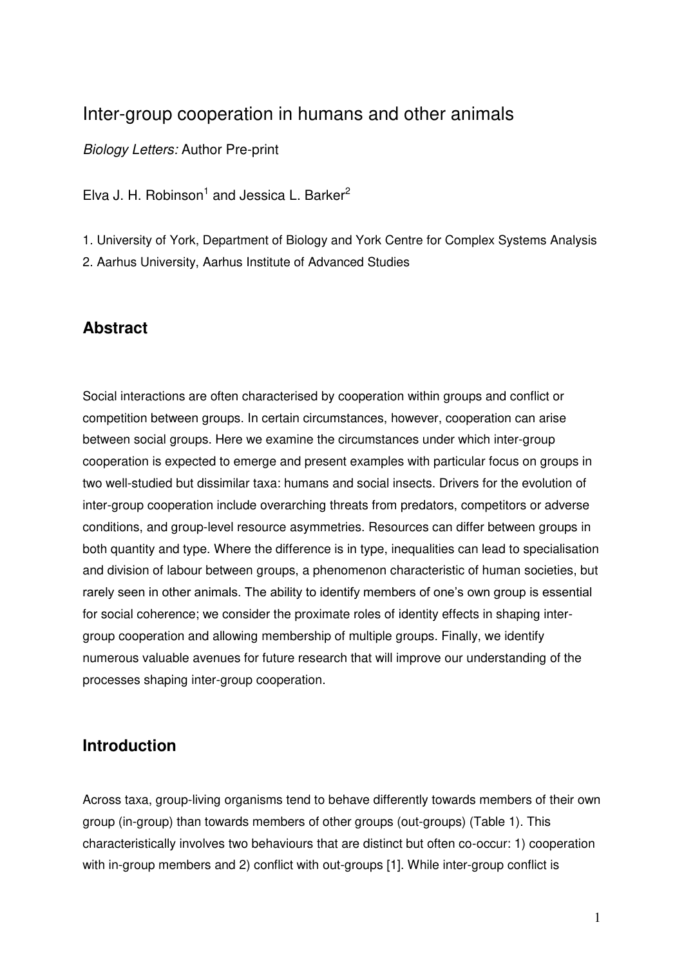# Inter-group cooperation in humans and other animals

*Biology Letters:* Author Pre-print

Elva J. H. Robinson<sup>1</sup> and Jessica L. Barker<sup>2</sup>

1. University of York, Department of Biology and York Centre for Complex Systems Analysis 2. Aarhus University, Aarhus Institute of Advanced Studies

# **Abstract**

Social interactions are often characterised by cooperation within groups and conflict or competition between groups. In certain circumstances, however, cooperation can arise between social groups. Here we examine the circumstances under which inter-group cooperation is expected to emerge and present examples with particular focus on groups in two well-studied but dissimilar taxa: humans and social insects. Drivers for the evolution of inter-group cooperation include overarching threats from predators, competitors or adverse conditions, and group-level resource asymmetries. Resources can differ between groups in both quantity and type. Where the difference is in type, inequalities can lead to specialisation and division of labour between groups, a phenomenon characteristic of human societies, but rarely seen in other animals. The ability to identify members of one's own group is essential for social coherence; we consider the proximate roles of identity effects in shaping intergroup cooperation and allowing membership of multiple groups. Finally, we identify numerous valuable avenues for future research that will improve our understanding of the processes shaping inter-group cooperation.

# **Introduction**

Across taxa, group-living organisms tend to behave differently towards members of their own group (in-group) than towards members of other groups (out-groups) (Table 1). This characteristically involves two behaviours that are distinct but often co-occur: 1) cooperation with in-group members and 2) conflict with out-groups [1]. While inter-group conflict is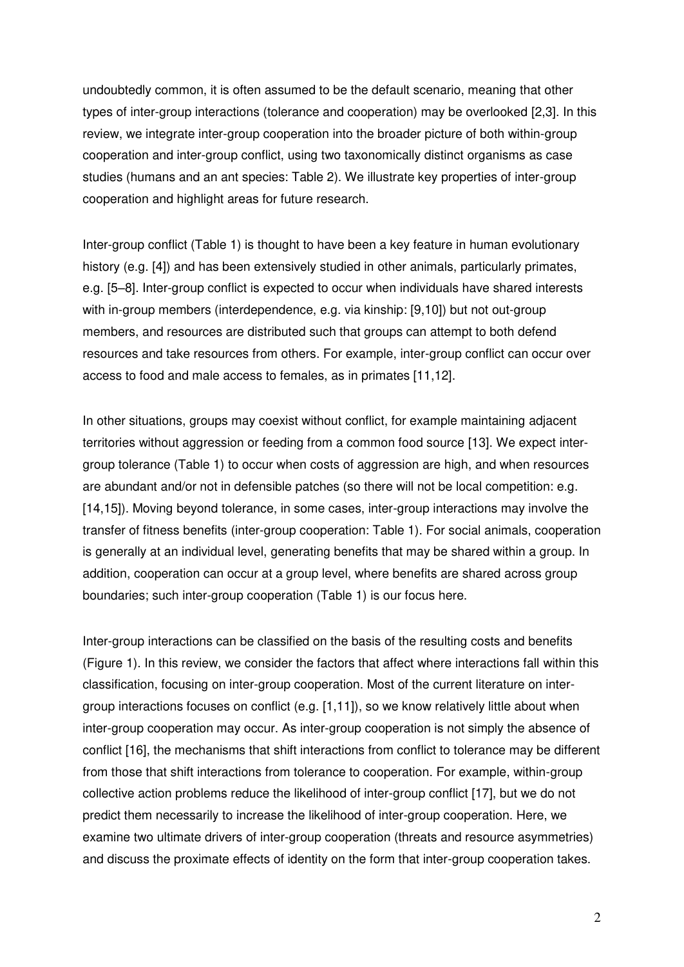undoubtedly common, it is often assumed to be the default scenario, meaning that other types of inter-group interactions (tolerance and cooperation) may be overlooked [2,3]. In this review, we integrate inter-group cooperation into the broader picture of both within-group cooperation and inter-group conflict, using two taxonomically distinct organisms as case studies (humans and an ant species: Table 2). We illustrate key properties of inter-group cooperation and highlight areas for future research.

Inter-group conflict (Table 1) is thought to have been a key feature in human evolutionary history (e.g. [4]) and has been extensively studied in other animals, particularly primates, e.g. [5–8]. Inter-group conflict is expected to occur when individuals have shared interests with in-group members (interdependence, e.g. via kinship: [9,10]) but not out-group members, and resources are distributed such that groups can attempt to both defend resources and take resources from others. For example, inter-group conflict can occur over access to food and male access to females, as in primates [11,12].

In other situations, groups may coexist without conflict, for example maintaining adjacent territories without aggression or feeding from a common food source [13]. We expect intergroup tolerance (Table 1) to occur when costs of aggression are high, and when resources are abundant and/or not in defensible patches (so there will not be local competition: e.g. [14,15]). Moving beyond tolerance, in some cases, inter-group interactions may involve the transfer of fitness benefits (inter-group cooperation: Table 1). For social animals, cooperation is generally at an individual level, generating benefits that may be shared within a group. In addition, cooperation can occur at a group level, where benefits are shared across group boundaries; such inter-group cooperation (Table 1) is our focus here.

Inter-group interactions can be classified on the basis of the resulting costs and benefits (Figure 1). In this review, we consider the factors that affect where interactions fall within this classification, focusing on inter-group cooperation. Most of the current literature on intergroup interactions focuses on conflict (e.g. [1,11]), so we know relatively little about when inter-group cooperation may occur. As inter-group cooperation is not simply the absence of conflict [16], the mechanisms that shift interactions from conflict to tolerance may be different from those that shift interactions from tolerance to cooperation. For example, within-group collective action problems reduce the likelihood of inter-group conflict [17], but we do not predict them necessarily to increase the likelihood of inter-group cooperation. Here, we examine two ultimate drivers of inter-group cooperation (threats and resource asymmetries) and discuss the proximate effects of identity on the form that inter-group cooperation takes.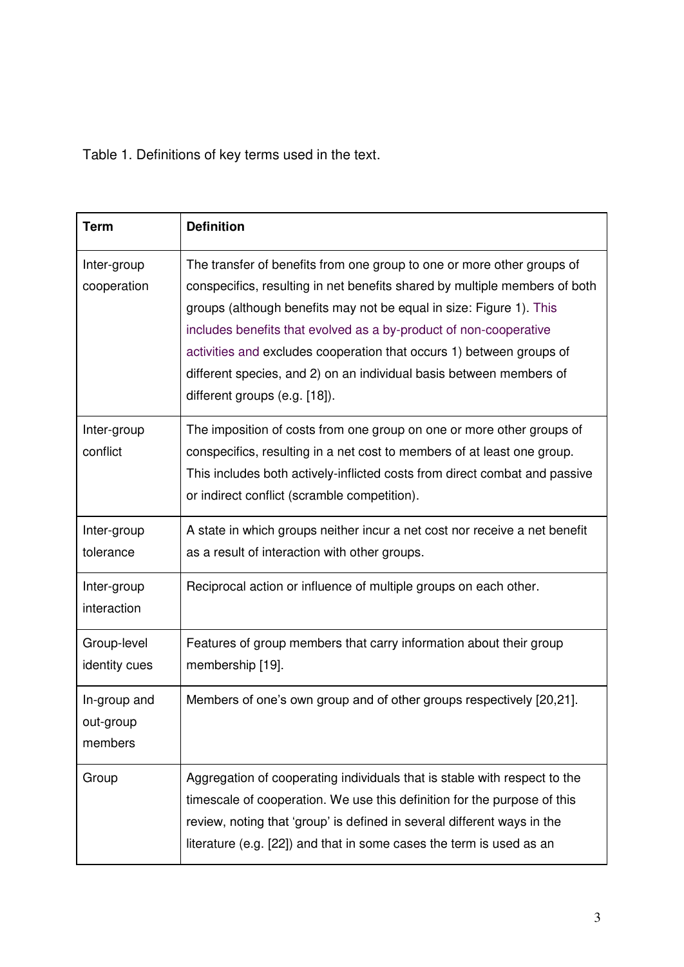Table 1. Definitions of key terms used in the text.

| <b>Term</b>                          | <b>Definition</b>                                                                                                                                                                                                                                                                                                                                                                                                                                                                |
|--------------------------------------|----------------------------------------------------------------------------------------------------------------------------------------------------------------------------------------------------------------------------------------------------------------------------------------------------------------------------------------------------------------------------------------------------------------------------------------------------------------------------------|
| Inter-group<br>cooperation           | The transfer of benefits from one group to one or more other groups of<br>conspecifics, resulting in net benefits shared by multiple members of both<br>groups (although benefits may not be equal in size: Figure 1). This<br>includes benefits that evolved as a by-product of non-cooperative<br>activities and excludes cooperation that occurs 1) between groups of<br>different species, and 2) on an individual basis between members of<br>different groups (e.g. [18]). |
| Inter-group<br>conflict              | The imposition of costs from one group on one or more other groups of<br>conspecifics, resulting in a net cost to members of at least one group.<br>This includes both actively-inflicted costs from direct combat and passive<br>or indirect conflict (scramble competition).                                                                                                                                                                                                   |
| Inter-group<br>tolerance             | A state in which groups neither incur a net cost nor receive a net benefit<br>as a result of interaction with other groups.                                                                                                                                                                                                                                                                                                                                                      |
| Inter-group<br>interaction           | Reciprocal action or influence of multiple groups on each other.                                                                                                                                                                                                                                                                                                                                                                                                                 |
| Group-level<br>identity cues         | Features of group members that carry information about their group<br>membership [19].                                                                                                                                                                                                                                                                                                                                                                                           |
| In-group and<br>out-group<br>members | Members of one's own group and of other groups respectively [20,21].                                                                                                                                                                                                                                                                                                                                                                                                             |
| Group                                | Aggregation of cooperating individuals that is stable with respect to the<br>timescale of cooperation. We use this definition for the purpose of this<br>review, noting that 'group' is defined in several different ways in the<br>literature (e.g. [22]) and that in some cases the term is used as an                                                                                                                                                                         |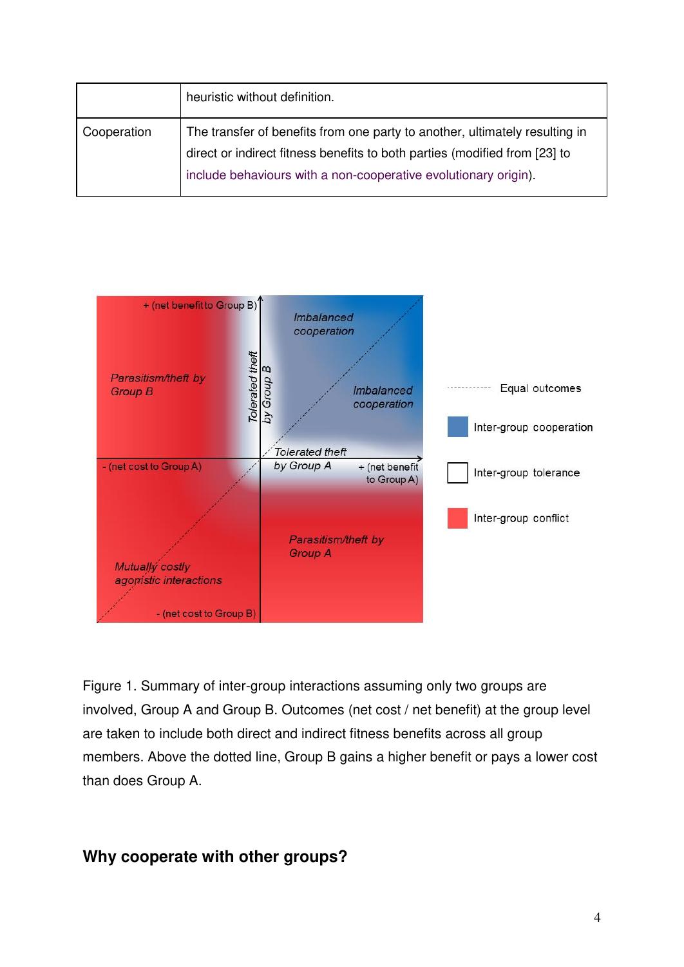|             | heuristic without definition.                                                                                                                                                                                                |
|-------------|------------------------------------------------------------------------------------------------------------------------------------------------------------------------------------------------------------------------------|
| Cooperation | The transfer of benefits from one party to another, ultimately resulting in<br>direct or indirect fitness benefits to both parties (modified from [23] to<br>include behaviours with a non-cooperative evolutionary origin). |



Figure 1. Summary of inter-group interactions assuming only two groups are involved, Group A and Group B. Outcomes (net cost / net benefit) at the group level are taken to include both direct and indirect fitness benefits across all group members. Above the dotted line, Group B gains a higher benefit or pays a lower cost than does Group A.

# **Why cooperate with other groups?**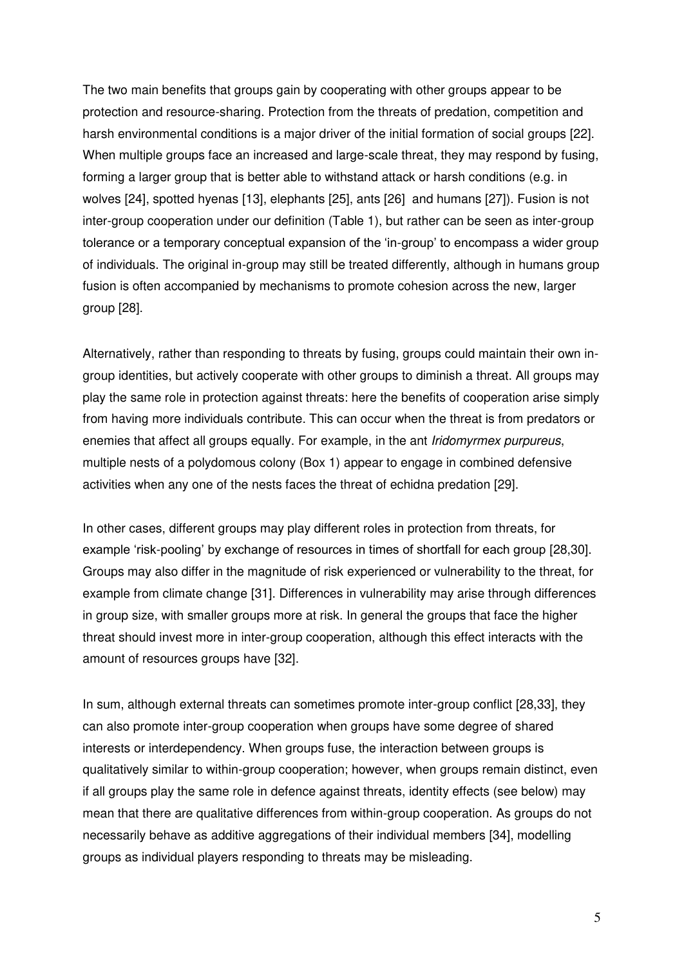The two main benefits that groups gain by cooperating with other groups appear to be protection and resource-sharing. Protection from the threats of predation, competition and harsh environmental conditions is a major driver of the initial formation of social groups [22]. When multiple groups face an increased and large-scale threat, they may respond by fusing, forming a larger group that is better able to withstand attack or harsh conditions (e.g. in wolves [24], spotted hyenas [13], elephants [25], ants [26] and humans [27]). Fusion is not inter-group cooperation under our definition (Table 1), but rather can be seen as inter-group tolerance or a temporary conceptual expansion of the 'in-group' to encompass a wider group of individuals. The original in-group may still be treated differently, although in humans group fusion is often accompanied by mechanisms to promote cohesion across the new, larger group [28].

Alternatively, rather than responding to threats by fusing, groups could maintain their own ingroup identities, but actively cooperate with other groups to diminish a threat. All groups may play the same role in protection against threats: here the benefits of cooperation arise simply from having more individuals contribute. This can occur when the threat is from predators or enemies that affect all groups equally. For example, in the ant *Iridomyrmex purpureus*, multiple nests of a polydomous colony (Box 1) appear to engage in combined defensive activities when any one of the nests faces the threat of echidna predation [29].

In other cases, different groups may play different roles in protection from threats, for example 'risk-pooling' by exchange of resources in times of shortfall for each group [28,30]. Groups may also differ in the magnitude of risk experienced or vulnerability to the threat, for example from climate change [31]. Differences in vulnerability may arise through differences in group size, with smaller groups more at risk. In general the groups that face the higher threat should invest more in inter-group cooperation, although this effect interacts with the amount of resources groups have [32].

In sum, although external threats can sometimes promote inter-group conflict [28,33], they can also promote inter-group cooperation when groups have some degree of shared interests or interdependency. When groups fuse, the interaction between groups is qualitatively similar to within-group cooperation; however, when groups remain distinct, even if all groups play the same role in defence against threats, identity effects (see below) may mean that there are qualitative differences from within-group cooperation. As groups do not necessarily behave as additive aggregations of their individual members [34], modelling groups as individual players responding to threats may be misleading.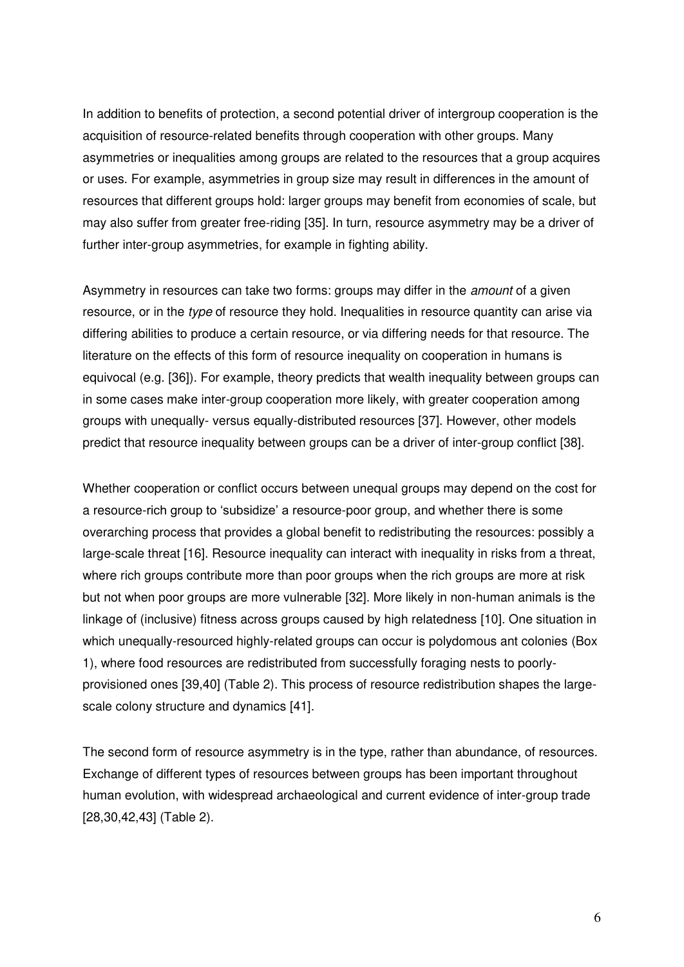In addition to benefits of protection, a second potential driver of intergroup cooperation is the acquisition of resource-related benefits through cooperation with other groups. Many asymmetries or inequalities among groups are related to the resources that a group acquires or uses. For example, asymmetries in group size may result in differences in the amount of resources that different groups hold: larger groups may benefit from economies of scale, but may also suffer from greater free-riding [35]. In turn, resource asymmetry may be a driver of further inter-group asymmetries, for example in fighting ability.

Asymmetry in resources can take two forms: groups may differ in the *amount* of a given resource, or in the *type* of resource they hold. Inequalities in resource quantity can arise via differing abilities to produce a certain resource, or via differing needs for that resource. The literature on the effects of this form of resource inequality on cooperation in humans is equivocal (e.g. [36]). For example, theory predicts that wealth inequality between groups can in some cases make inter-group cooperation more likely, with greater cooperation among groups with unequally- versus equally-distributed resources [37]. However, other models predict that resource inequality between groups can be a driver of inter-group conflict [38].

Whether cooperation or conflict occurs between unequal groups may depend on the cost for a resource-rich group to 'subsidize' a resource-poor group, and whether there is some overarching process that provides a global benefit to redistributing the resources: possibly a large-scale threat [16]. Resource inequality can interact with inequality in risks from a threat, where rich groups contribute more than poor groups when the rich groups are more at risk but not when poor groups are more vulnerable [32]. More likely in non-human animals is the linkage of (inclusive) fitness across groups caused by high relatedness [10]. One situation in which unequally-resourced highly-related groups can occur is polydomous ant colonies (Box 1), where food resources are redistributed from successfully foraging nests to poorlyprovisioned ones [39,40] (Table 2). This process of resource redistribution shapes the largescale colony structure and dynamics [41].

The second form of resource asymmetry is in the type, rather than abundance, of resources. Exchange of different types of resources between groups has been important throughout human evolution, with widespread archaeological and current evidence of inter-group trade [28,30,42,43] (Table 2).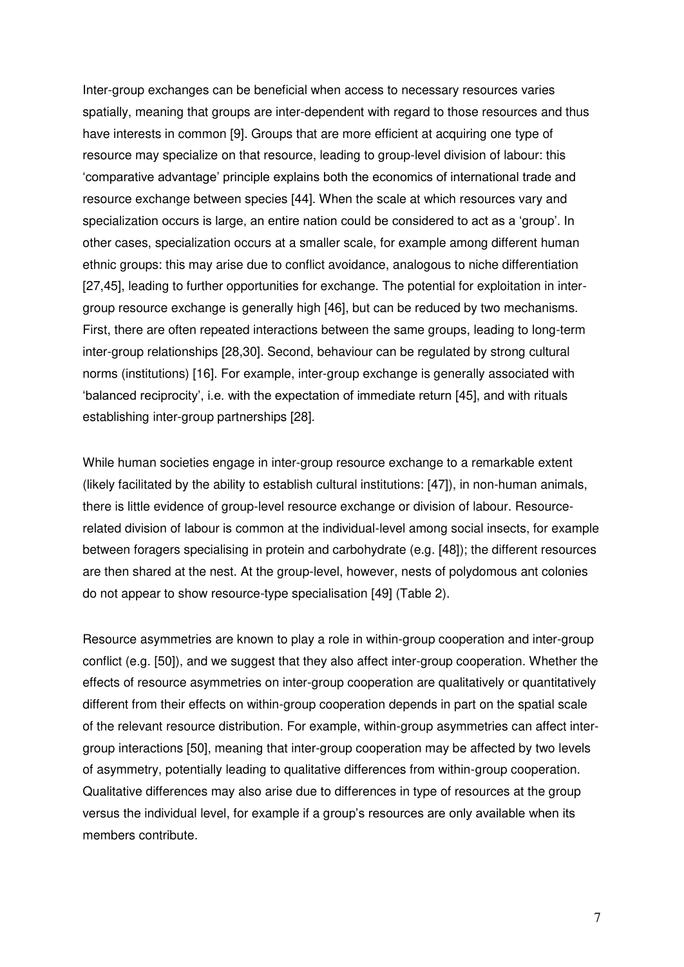Inter-group exchanges can be beneficial when access to necessary resources varies spatially, meaning that groups are inter-dependent with regard to those resources and thus have interests in common [9]. Groups that are more efficient at acquiring one type of resource may specialize on that resource, leading to group-level division of labour: this 'comparative advantage' principle explains both the economics of international trade and resource exchange between species [44]. When the scale at which resources vary and specialization occurs is large, an entire nation could be considered to act as a 'group'. In other cases, specialization occurs at a smaller scale, for example among different human ethnic groups: this may arise due to conflict avoidance, analogous to niche differentiation [27,45], leading to further opportunities for exchange. The potential for exploitation in intergroup resource exchange is generally high [46], but can be reduced by two mechanisms. First, there are often repeated interactions between the same groups, leading to long-term inter-group relationships [28,30]. Second, behaviour can be regulated by strong cultural norms (institutions) [16]. For example, inter-group exchange is generally associated with 'balanced reciprocity', i.e. with the expectation of immediate return [45], and with rituals establishing inter-group partnerships [28].

While human societies engage in inter-group resource exchange to a remarkable extent (likely facilitated by the ability to establish cultural institutions: [47]), in non-human animals, there is little evidence of group-level resource exchange or division of labour. Resourcerelated division of labour is common at the individual-level among social insects, for example between foragers specialising in protein and carbohydrate (e.g. [48]); the different resources are then shared at the nest. At the group-level, however, nests of polydomous ant colonies do not appear to show resource-type specialisation [49] (Table 2).

Resource asymmetries are known to play a role in within-group cooperation and inter-group conflict (e.g. [50]), and we suggest that they also affect inter-group cooperation. Whether the effects of resource asymmetries on inter-group cooperation are qualitatively or quantitatively different from their effects on within-group cooperation depends in part on the spatial scale of the relevant resource distribution. For example, within-group asymmetries can affect intergroup interactions [50], meaning that inter-group cooperation may be affected by two levels of asymmetry, potentially leading to qualitative differences from within-group cooperation. Qualitative differences may also arise due to differences in type of resources at the group versus the individual level, for example if a group's resources are only available when its members contribute.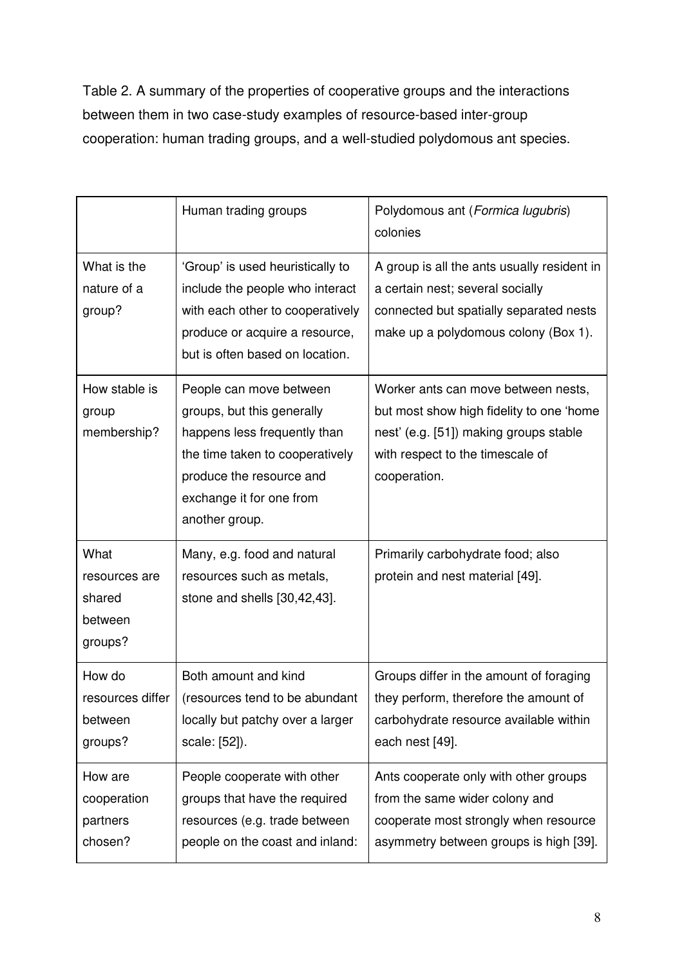Table 2. A summary of the properties of cooperative groups and the interactions between them in two case-study examples of resource-based inter-group cooperation: human trading groups, and a well-studied polydomous ant species.

|                                                       | Human trading groups                                                                                                                                                                               | Polydomous ant (Formica lugubris)<br>colonies                                                                                                                                 |
|-------------------------------------------------------|----------------------------------------------------------------------------------------------------------------------------------------------------------------------------------------------------|-------------------------------------------------------------------------------------------------------------------------------------------------------------------------------|
| What is the<br>nature of a<br>group?                  | 'Group' is used heuristically to<br>include the people who interact<br>with each other to cooperatively<br>produce or acquire a resource,<br>but is often based on location.                       | A group is all the ants usually resident in<br>a certain nest; several socially<br>connected but spatially separated nests<br>make up a polydomous colony (Box 1).            |
| How stable is<br>group<br>membership?                 | People can move between<br>groups, but this generally<br>happens less frequently than<br>the time taken to cooperatively<br>produce the resource and<br>exchange it for one from<br>another group. | Worker ants can move between nests,<br>but most show high fidelity to one 'home<br>nest' (e.g. [51]) making groups stable<br>with respect to the timescale of<br>cooperation. |
| What<br>resources are<br>shared<br>between<br>groups? | Many, e.g. food and natural<br>resources such as metals,<br>stone and shells [30,42,43].                                                                                                           | Primarily carbohydrate food; also<br>protein and nest material [49].                                                                                                          |
| How do<br>resources differ<br>between<br>groups?      | Both amount and kind<br>(resources tend to be abundant<br>locally but patchy over a larger<br>scale: [52]).                                                                                        | Groups differ in the amount of foraging<br>they perform, therefore the amount of<br>carbohydrate resource available within<br>each nest [49].                                 |
| How are<br>cooperation<br>partners<br>chosen?         | People cooperate with other<br>groups that have the required<br>resources (e.g. trade between<br>people on the coast and inland:                                                                   | Ants cooperate only with other groups<br>from the same wider colony and<br>cooperate most strongly when resource<br>asymmetry between groups is high [39].                    |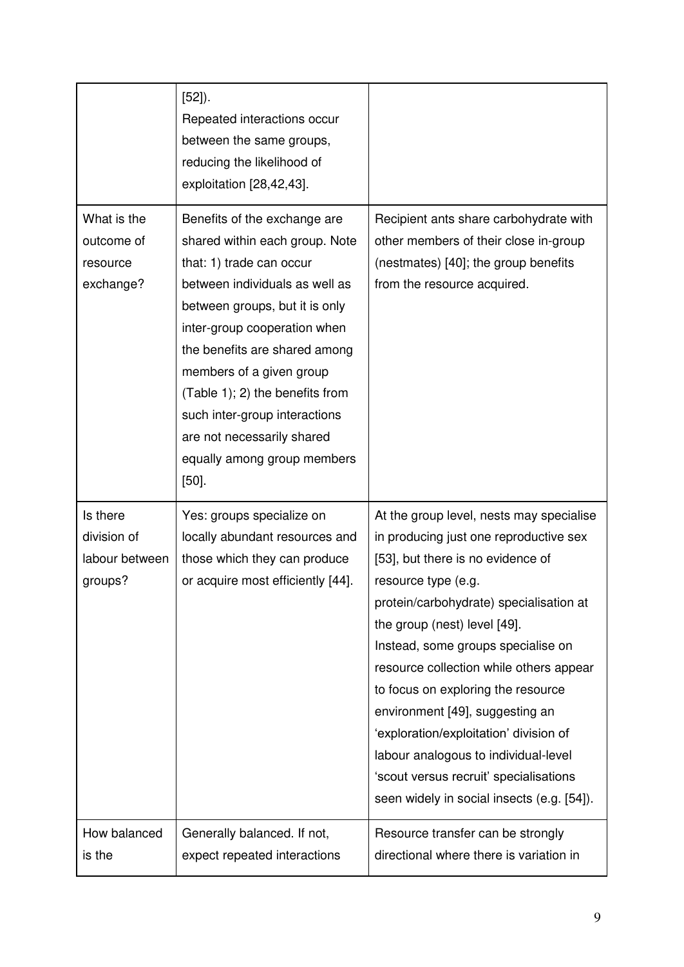|                                                      | $[52]$ ).<br>Repeated interactions occur<br>between the same groups,<br>reducing the likelihood of<br>exploitation [28,42,43].                                                                                                                                                                                                                                                                         |                                                                                                                                                                                                                                                                                                                                                                                                                                                                                                                                                               |
|------------------------------------------------------|--------------------------------------------------------------------------------------------------------------------------------------------------------------------------------------------------------------------------------------------------------------------------------------------------------------------------------------------------------------------------------------------------------|---------------------------------------------------------------------------------------------------------------------------------------------------------------------------------------------------------------------------------------------------------------------------------------------------------------------------------------------------------------------------------------------------------------------------------------------------------------------------------------------------------------------------------------------------------------|
| What is the<br>outcome of<br>resource<br>exchange?   | Benefits of the exchange are<br>shared within each group. Note<br>that: 1) trade can occur<br>between individuals as well as<br>between groups, but it is only<br>inter-group cooperation when<br>the benefits are shared among<br>members of a given group<br>(Table 1); 2) the benefits from<br>such inter-group interactions<br>are not necessarily shared<br>equally among group members<br>$[50]$ | Recipient ants share carbohydrate with<br>other members of their close in-group<br>(nestmates) [40]; the group benefits<br>from the resource acquired.                                                                                                                                                                                                                                                                                                                                                                                                        |
| Is there<br>division of<br>labour between<br>groups? | Yes: groups specialize on<br>locally abundant resources and<br>those which they can produce<br>or acquire most efficiently [44].                                                                                                                                                                                                                                                                       | At the group level, nests may specialise<br>in producing just one reproductive sex<br>[53], but there is no evidence of<br>resource type (e.g.<br>protein/carbohydrate) specialisation at<br>the group (nest) level [49].<br>Instead, some groups specialise on<br>resource collection while others appear<br>to focus on exploring the resource<br>environment [49], suggesting an<br>'exploration/exploitation' division of<br>labour analogous to individual-level<br>'scout versus recruit' specialisations<br>seen widely in social insects (e.g. [54]). |
| How balanced<br>is the                               | Generally balanced. If not,<br>expect repeated interactions                                                                                                                                                                                                                                                                                                                                            | Resource transfer can be strongly<br>directional where there is variation in                                                                                                                                                                                                                                                                                                                                                                                                                                                                                  |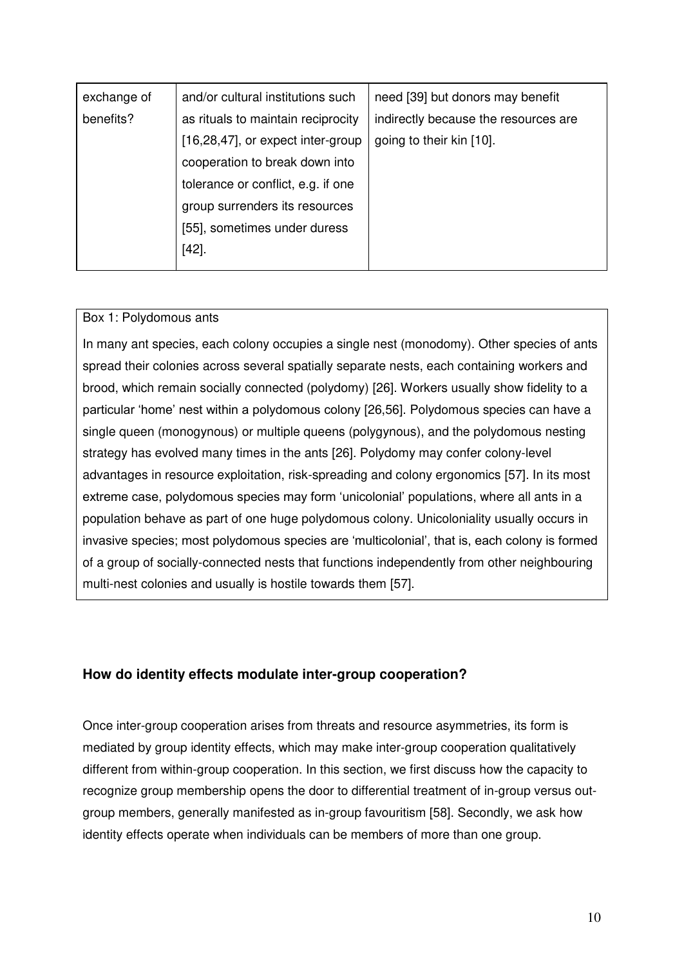| exchange of | and/or cultural institutions such  | need [39] but donors may benefit     |
|-------------|------------------------------------|--------------------------------------|
| benefits?   | as rituals to maintain reciprocity | indirectly because the resources are |
|             | [16,28,47], or expect inter-group  | going to their kin [10].             |
|             | cooperation to break down into     |                                      |
|             | tolerance or conflict, e.g. if one |                                      |
|             | group surrenders its resources     |                                      |
|             | [55], sometimes under duress       |                                      |
|             | $[42]$ .                           |                                      |
|             |                                    |                                      |

## Box 1: Polydomous ants

In many ant species, each colony occupies a single nest (monodomy). Other species of ants spread their colonies across several spatially separate nests, each containing workers and brood, which remain socially connected (polydomy) [26]. Workers usually show fidelity to a particular 'home' nest within a polydomous colony [26,56]. Polydomous species can have a single queen (monogynous) or multiple queens (polygynous), and the polydomous nesting strategy has evolved many times in the ants [26]. Polydomy may confer colony-level advantages in resource exploitation, risk-spreading and colony ergonomics [57]. In its most extreme case, polydomous species may form 'unicolonial' populations, where all ants in a population behave as part of one huge polydomous colony. Unicoloniality usually occurs in invasive species; most polydomous species are 'multicolonial', that is, each colony is formed of a group of socially-connected nests that functions independently from other neighbouring multi-nest colonies and usually is hostile towards them [57].

## **How do identity effects modulate inter-group cooperation?**

Once inter-group cooperation arises from threats and resource asymmetries, its form is mediated by group identity effects, which may make inter-group cooperation qualitatively different from within-group cooperation. In this section, we first discuss how the capacity to recognize group membership opens the door to differential treatment of in-group versus outgroup members, generally manifested as in-group favouritism [58]. Secondly, we ask how identity effects operate when individuals can be members of more than one group.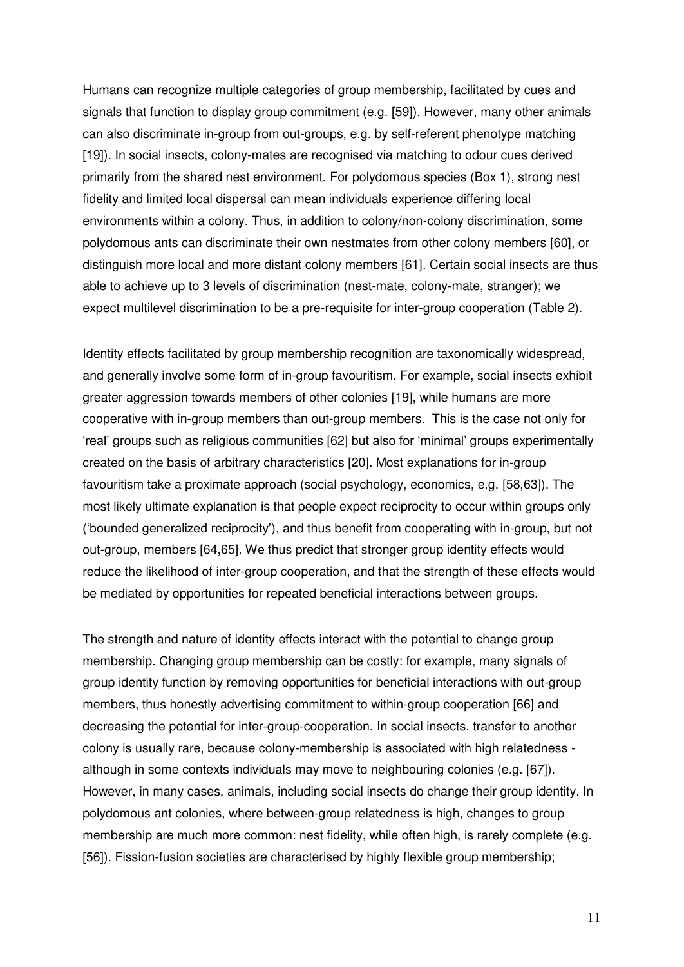Humans can recognize multiple categories of group membership, facilitated by cues and signals that function to display group commitment (e.g. [59]). However, many other animals can also discriminate in-group from out-groups, e.g. by self-referent phenotype matching [19]). In social insects, colony-mates are recognised via matching to odour cues derived primarily from the shared nest environment. For polydomous species (Box 1), strong nest fidelity and limited local dispersal can mean individuals experience differing local environments within a colony. Thus, in addition to colony/non-colony discrimination, some polydomous ants can discriminate their own nestmates from other colony members [60], or distinguish more local and more distant colony members [61]. Certain social insects are thus able to achieve up to 3 levels of discrimination (nest-mate, colony-mate, stranger); we expect multilevel discrimination to be a pre-requisite for inter-group cooperation (Table 2).

Identity effects facilitated by group membership recognition are taxonomically widespread, and generally involve some form of in-group favouritism. For example, social insects exhibit greater aggression towards members of other colonies [19], while humans are more cooperative with in-group members than out-group members. This is the case not only for 'real' groups such as religious communities [62] but also for 'minimal' groups experimentally created on the basis of arbitrary characteristics [20]. Most explanations for in-group favouritism take a proximate approach (social psychology, economics, e.g. [58,63]). The most likely ultimate explanation is that people expect reciprocity to occur within groups only ('bounded generalized reciprocity'), and thus benefit from cooperating with in-group, but not out-group, members [64,65]. We thus predict that stronger group identity effects would reduce the likelihood of inter-group cooperation, and that the strength of these effects would be mediated by opportunities for repeated beneficial interactions between groups.

The strength and nature of identity effects interact with the potential to change group membership. Changing group membership can be costly: for example, many signals of group identity function by removing opportunities for beneficial interactions with out-group members, thus honestly advertising commitment to within-group cooperation [66] and decreasing the potential for inter-group-cooperation. In social insects, transfer to another colony is usually rare, because colony-membership is associated with high relatedness although in some contexts individuals may move to neighbouring colonies (e.g. [67]). However, in many cases, animals, including social insects do change their group identity. In polydomous ant colonies, where between-group relatedness is high, changes to group membership are much more common: nest fidelity, while often high, is rarely complete (e.g. [56]). Fission-fusion societies are characterised by highly flexible group membership;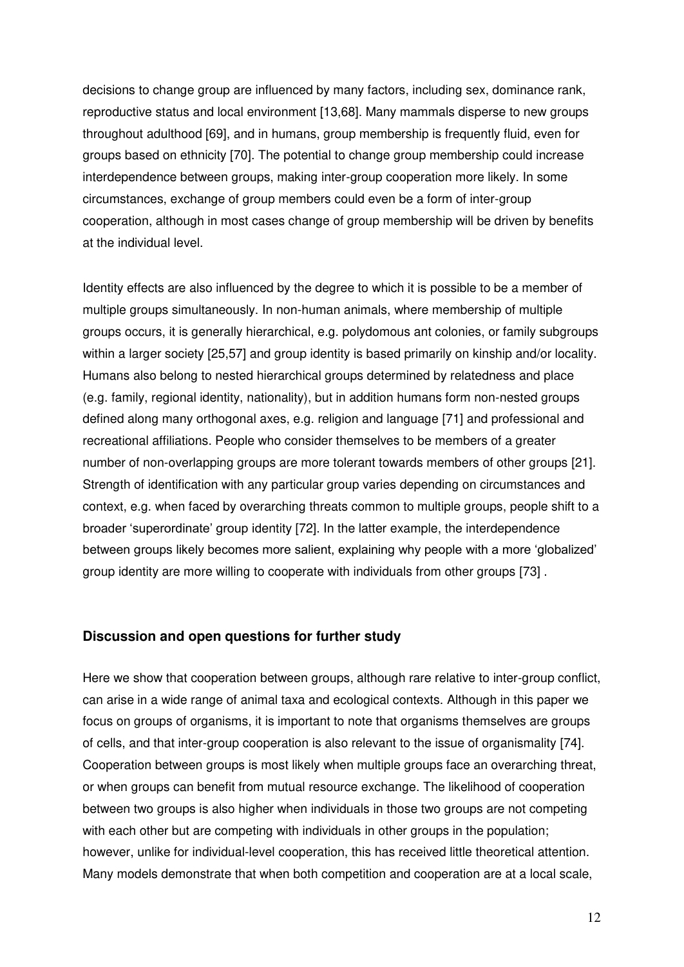decisions to change group are influenced by many factors, including sex, dominance rank, reproductive status and local environment [13,68]. Many mammals disperse to new groups throughout adulthood [69], and in humans, group membership is frequently fluid, even for groups based on ethnicity [70]. The potential to change group membership could increase interdependence between groups, making inter-group cooperation more likely. In some circumstances, exchange of group members could even be a form of inter-group cooperation, although in most cases change of group membership will be driven by benefits at the individual level.

Identity effects are also influenced by the degree to which it is possible to be a member of multiple groups simultaneously. In non-human animals, where membership of multiple groups occurs, it is generally hierarchical, e.g. polydomous ant colonies, or family subgroups within a larger society [25,57] and group identity is based primarily on kinship and/or locality. Humans also belong to nested hierarchical groups determined by relatedness and place (e.g. family, regional identity, nationality), but in addition humans form non-nested groups defined along many orthogonal axes, e.g. religion and language [71] and professional and recreational affiliations. People who consider themselves to be members of a greater number of non-overlapping groups are more tolerant towards members of other groups [21]. Strength of identification with any particular group varies depending on circumstances and context, e.g. when faced by overarching threats common to multiple groups, people shift to a broader 'superordinate' group identity [72]. In the latter example, the interdependence between groups likely becomes more salient, explaining why people with a more 'globalized' group identity are more willing to cooperate with individuals from other groups [73] .

## **Discussion and open questions for further study**

Here we show that cooperation between groups, although rare relative to inter-group conflict, can arise in a wide range of animal taxa and ecological contexts. Although in this paper we focus on groups of organisms, it is important to note that organisms themselves are groups of cells, and that inter-group cooperation is also relevant to the issue of organismality [74]. Cooperation between groups is most likely when multiple groups face an overarching threat, or when groups can benefit from mutual resource exchange. The likelihood of cooperation between two groups is also higher when individuals in those two groups are not competing with each other but are competing with individuals in other groups in the population; however, unlike for individual-level cooperation, this has received little theoretical attention. Many models demonstrate that when both competition and cooperation are at a local scale,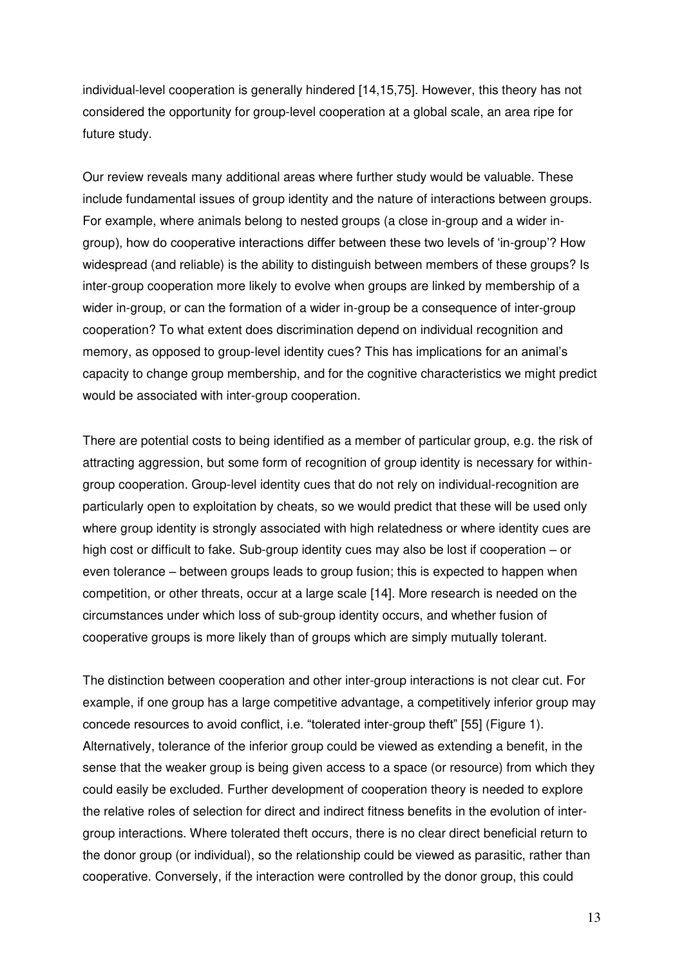individual-level cooperation is generally hindered [14,15,75]. However, this theory has not considered the opportunity for group-level cooperation at a global scale, an area ripe for future study.

Our review reveals many additional areas where further study would be valuable. These include fundamental issues of group identity and the nature of interactions between groups. For example, where animals belong to nested groups (a close in-group and a wider ingroup), how do cooperative interactions differ between these two levels of 'in-group'? How widespread (and reliable) is the ability to distinguish between members of these groups? Is inter-group cooperation more likely to evolve when groups are linked by membership of a wider in-group, or can the formation of a wider in-group be a consequence of inter-group cooperation? To what extent does discrimination depend on individual recognition and memory, as opposed to group-level identity cues? This has implications for an animal's capacity to change group membership, and for the cognitive characteristics we might predict would be associated with inter-group cooperation.

There are potential costs to being identified as a member of particular group, e.g. the risk of attracting aggression, but some form of recognition of group identity is necessary for withingroup cooperation. Group-level identity cues that do not rely on individual-recognition are particularly open to exploitation by cheats, so we would predict that these will be used only where group identity is strongly associated with high relatedness or where identity cues are high cost or difficult to fake. Sub-group identity cues may also be lost if cooperation – or even tolerance – between groups leads to group fusion; this is expected to happen when competition, or other threats, occur at a large scale [14]. More research is needed on the circumstances under which loss of sub-group identity occurs, and whether fusion of cooperative groups is more likely than of groups which are simply mutually tolerant.

The distinction between cooperation and other inter-group interactions is not clear cut. For example, if one group has a large competitive advantage, a competitively inferior group may concede resources to avoid conflict, i.e. "tolerated inter-group theft" [55] (Figure 1). Alternatively, tolerance of the inferior group could be viewed as extending a benefit, in the sense that the weaker group is being given access to a space (or resource) from which they could easily be excluded. Further development of cooperation theory is needed to explore the relative roles of selection for direct and indirect fitness benefits in the evolution of intergroup interactions. Where tolerated theft occurs, there is no clear direct beneficial return to the donor group (or individual), so the relationship could be viewed as parasitic, rather than cooperative. Conversely, if the interaction were controlled by the donor group, this could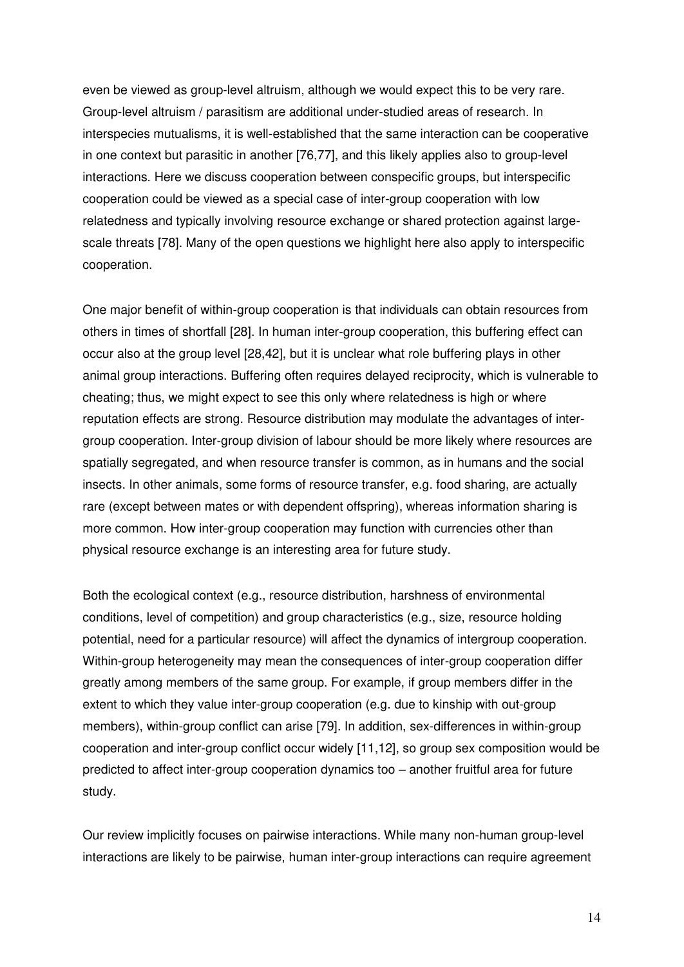even be viewed as group-level altruism, although we would expect this to be very rare. Group-level altruism / parasitism are additional under-studied areas of research. In interspecies mutualisms, it is well-established that the same interaction can be cooperative in one context but parasitic in another [76,77], and this likely applies also to group-level interactions. Here we discuss cooperation between conspecific groups, but interspecific cooperation could be viewed as a special case of inter-group cooperation with low relatedness and typically involving resource exchange or shared protection against largescale threats [78]. Many of the open questions we highlight here also apply to interspecific cooperation.

One major benefit of within-group cooperation is that individuals can obtain resources from others in times of shortfall [28]. In human inter-group cooperation, this buffering effect can occur also at the group level [28,42], but it is unclear what role buffering plays in other animal group interactions. Buffering often requires delayed reciprocity, which is vulnerable to cheating; thus, we might expect to see this only where relatedness is high or where reputation effects are strong. Resource distribution may modulate the advantages of intergroup cooperation. Inter-group division of labour should be more likely where resources are spatially segregated, and when resource transfer is common, as in humans and the social insects. In other animals, some forms of resource transfer, e.g. food sharing, are actually rare (except between mates or with dependent offspring), whereas information sharing is more common. How inter-group cooperation may function with currencies other than physical resource exchange is an interesting area for future study.

Both the ecological context (e.g., resource distribution, harshness of environmental conditions, level of competition) and group characteristics (e.g., size, resource holding potential, need for a particular resource) will affect the dynamics of intergroup cooperation. Within-group heterogeneity may mean the consequences of inter-group cooperation differ greatly among members of the same group. For example, if group members differ in the extent to which they value inter-group cooperation (e.g. due to kinship with out-group members), within-group conflict can arise [79]. In addition, sex-differences in within-group cooperation and inter-group conflict occur widely [11,12], so group sex composition would be predicted to affect inter-group cooperation dynamics too – another fruitful area for future study.

Our review implicitly focuses on pairwise interactions. While many non-human group-level interactions are likely to be pairwise, human inter-group interactions can require agreement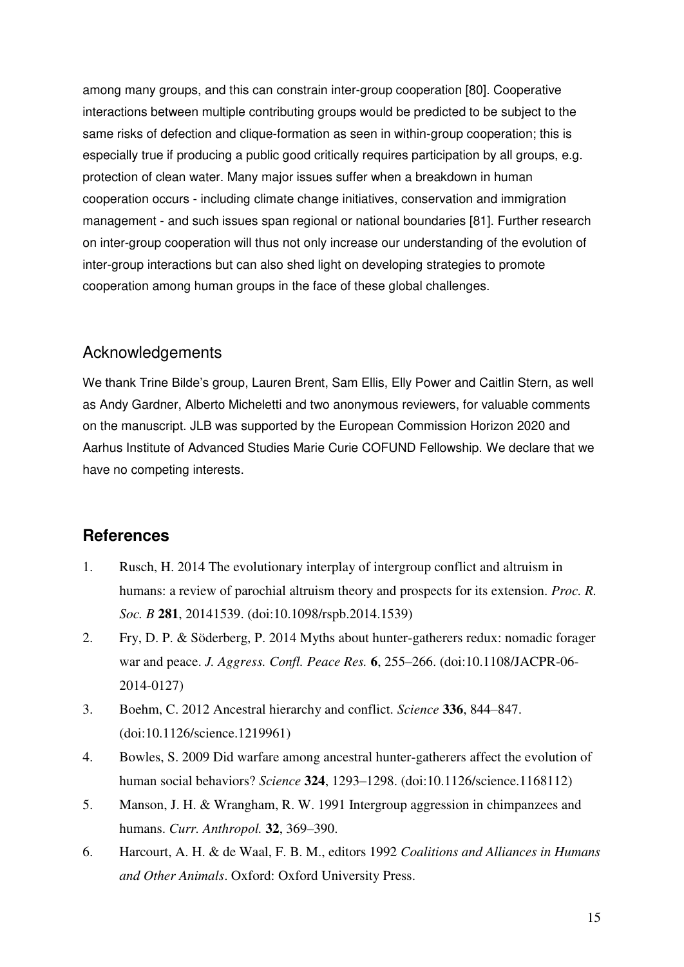among many groups, and this can constrain inter-group cooperation [80]. Cooperative interactions between multiple contributing groups would be predicted to be subject to the same risks of defection and clique-formation as seen in within-group cooperation; this is especially true if producing a public good critically requires participation by all groups, e.g. protection of clean water. Many major issues suffer when a breakdown in human cooperation occurs - including climate change initiatives, conservation and immigration management - and such issues span regional or national boundaries [81]. Further research on inter-group cooperation will thus not only increase our understanding of the evolution of inter-group interactions but can also shed light on developing strategies to promote cooperation among human groups in the face of these global challenges.

# Acknowledgements

We thank Trine Bilde's group, Lauren Brent, Sam Ellis, Elly Power and Caitlin Stern, as well as Andy Gardner, Alberto Micheletti and two anonymous reviewers, for valuable comments on the manuscript. JLB was supported by the European Commission Horizon 2020 and Aarhus Institute of Advanced Studies Marie Curie COFUND Fellowship. We declare that we have no competing interests.

## **References**

- 1. Rusch, H. 2014 The evolutionary interplay of intergroup conflict and altruism in humans: a review of parochial altruism theory and prospects for its extension. *Proc. R. Soc. B* **281**, 20141539. (doi:10.1098/rspb.2014.1539)
- 2. Fry, D. P. & Söderberg, P. 2014 Myths about hunter-gatherers redux: nomadic forager war and peace. *J. Aggress. Confl. Peace Res.* **6**, 255–266. (doi:10.1108/JACPR-06- 2014-0127)
- 3. Boehm, C. 2012 Ancestral hierarchy and conflict. *Science* **336**, 844–847. (doi:10.1126/science.1219961)
- 4. Bowles, S. 2009 Did warfare among ancestral hunter-gatherers affect the evolution of human social behaviors? *Science* **324**, 1293–1298. (doi:10.1126/science.1168112)
- 5. Manson, J. H. & Wrangham, R. W. 1991 Intergroup aggression in chimpanzees and humans. *Curr. Anthropol.* **32**, 369–390.
- 6. Harcourt, A. H. & de Waal, F. B. M., editors 1992 *Coalitions and Alliances in Humans and Other Animals*. Oxford: Oxford University Press.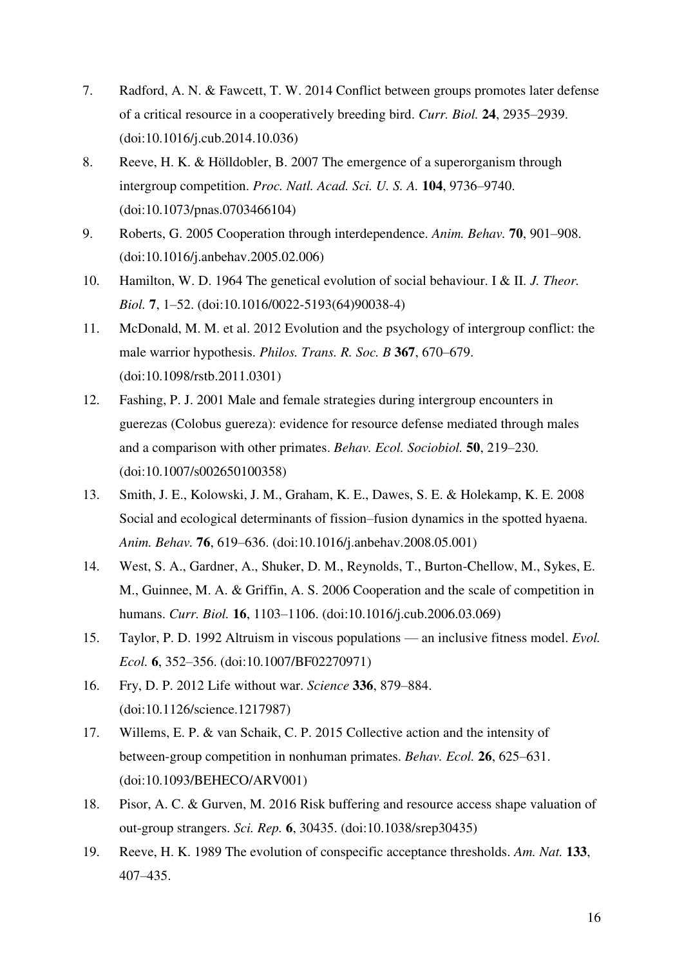- 7. Radford, A. N. & Fawcett, T. W. 2014 Conflict between groups promotes later defense of a critical resource in a cooperatively breeding bird. *Curr. Biol.* **24**, 2935–2939. (doi:10.1016/j.cub.2014.10.036)
- 8. Reeve, H. K. & Hölldobler, B. 2007 The emergence of a superorganism through intergroup competition. *Proc. Natl. Acad. Sci. U. S. A.* **104**, 9736–9740. (doi:10.1073/pnas.0703466104)
- 9. Roberts, G. 2005 Cooperation through interdependence. *Anim. Behav.* **70**, 901–908. (doi:10.1016/j.anbehav.2005.02.006)
- 10. Hamilton, W. D. 1964 The genetical evolution of social behaviour. I & II. *J. Theor. Biol.* **7**, 1–52. (doi:10.1016/0022-5193(64)90038-4)
- 11. McDonald, M. M. et al. 2012 Evolution and the psychology of intergroup conflict: the male warrior hypothesis. *Philos. Trans. R. Soc. B* **367**, 670–679. (doi:10.1098/rstb.2011.0301)
- 12. Fashing, P. J. 2001 Male and female strategies during intergroup encounters in guerezas (Colobus guereza): evidence for resource defense mediated through males and a comparison with other primates. *Behav. Ecol. Sociobiol.* **50**, 219–230. (doi:10.1007/s002650100358)
- 13. Smith, J. E., Kolowski, J. M., Graham, K. E., Dawes, S. E. & Holekamp, K. E. 2008 Social and ecological determinants of fission–fusion dynamics in the spotted hyaena. *Anim. Behav.* **76**, 619–636. (doi:10.1016/j.anbehav.2008.05.001)
- 14. West, S. A., Gardner, A., Shuker, D. M., Reynolds, T., Burton-Chellow, M., Sykes, E. M., Guinnee, M. A. & Griffin, A. S. 2006 Cooperation and the scale of competition in humans. *Curr. Biol.* **16**, 1103–1106. (doi:10.1016/j.cub.2006.03.069)
- 15. Taylor, P. D. 1992 Altruism in viscous populations an inclusive fitness model. *Evol. Ecol.* **6**, 352–356. (doi:10.1007/BF02270971)
- 16. Fry, D. P. 2012 Life without war. *Science* **336**, 879–884. (doi:10.1126/science.1217987)
- 17. Willems, E. P. & van Schaik, C. P. 2015 Collective action and the intensity of between-group competition in nonhuman primates. *Behav. Ecol.* **26**, 625–631. (doi:10.1093/BEHECO/ARV001)
- 18. Pisor, A. C. & Gurven, M. 2016 Risk buffering and resource access shape valuation of out-group strangers. *Sci. Rep.* **6**, 30435. (doi:10.1038/srep30435)
- 19. Reeve, H. K. 1989 The evolution of conspecific acceptance thresholds. *Am. Nat.* **133**, 407–435.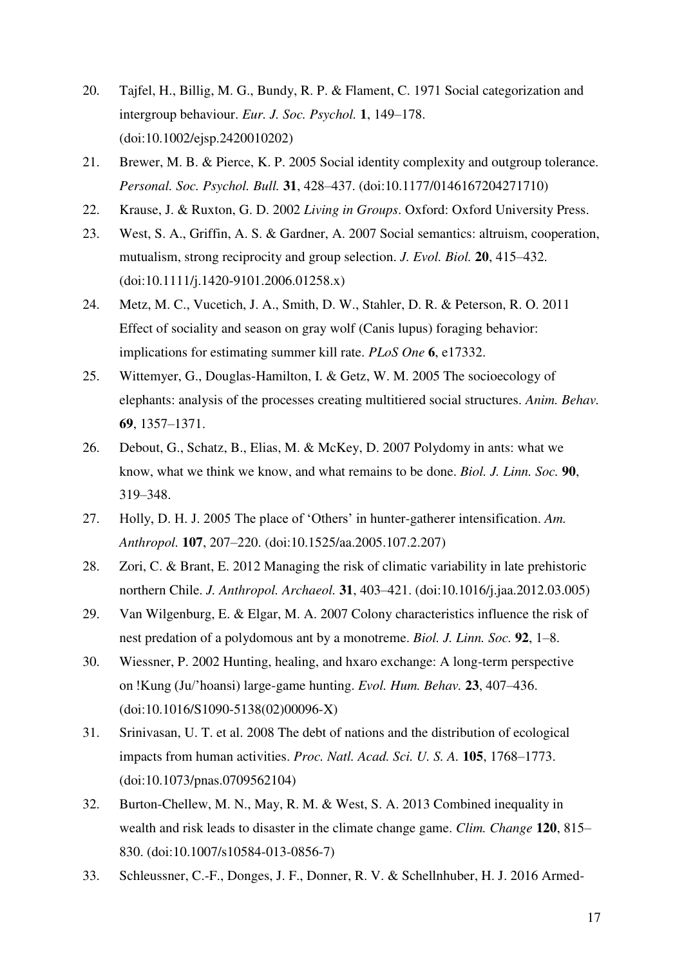- 20. Tajfel, H., Billig, M. G., Bundy, R. P. & Flament, C. 1971 Social categorization and intergroup behaviour. *Eur. J. Soc. Psychol.* **1**, 149–178. (doi:10.1002/ejsp.2420010202)
- 21. Brewer, M. B. & Pierce, K. P. 2005 Social identity complexity and outgroup tolerance. *Personal. Soc. Psychol. Bull.* **31**, 428–437. (doi:10.1177/0146167204271710)
- 22. Krause, J. & Ruxton, G. D. 2002 *Living in Groups*. Oxford: Oxford University Press.
- 23. West, S. A., Griffin, A. S. & Gardner, A. 2007 Social semantics: altruism, cooperation, mutualism, strong reciprocity and group selection. *J. Evol. Biol.* **20**, 415–432. (doi:10.1111/j.1420-9101.2006.01258.x)
- 24. Metz, M. C., Vucetich, J. A., Smith, D. W., Stahler, D. R. & Peterson, R. O. 2011 Effect of sociality and season on gray wolf (Canis lupus) foraging behavior: implications for estimating summer kill rate. *PLoS One* **6**, e17332.
- 25. Wittemyer, G., Douglas-Hamilton, I. & Getz, W. M. 2005 The socioecology of elephants: analysis of the processes creating multitiered social structures. *Anim. Behav.* **69**, 1357–1371.
- 26. Debout, G., Schatz, B., Elias, M. & McKey, D. 2007 Polydomy in ants: what we know, what we think we know, and what remains to be done. *Biol. J. Linn. Soc.* **90**, 319–348.
- 27. Holly, D. H. J. 2005 The place of 'Others' in hunter-gatherer intensification. *Am. Anthropol.* **107**, 207–220. (doi:10.1525/aa.2005.107.2.207)
- 28. Zori, C. & Brant, E. 2012 Managing the risk of climatic variability in late prehistoric northern Chile. *J. Anthropol. Archaeol.* **31**, 403–421. (doi:10.1016/j.jaa.2012.03.005)
- 29. Van Wilgenburg, E. & Elgar, M. A. 2007 Colony characteristics influence the risk of nest predation of a polydomous ant by a monotreme. *Biol. J. Linn. Soc.* **92**, 1–8.
- 30. Wiessner, P. 2002 Hunting, healing, and hxaro exchange: A long-term perspective on !Kung (Ju/'hoansi) large-game hunting. *Evol. Hum. Behav.* **23**, 407–436. (doi:10.1016/S1090-5138(02)00096-X)
- 31. Srinivasan, U. T. et al. 2008 The debt of nations and the distribution of ecological impacts from human activities. *Proc. Natl. Acad. Sci. U. S. A.* **105**, 1768–1773. (doi:10.1073/pnas.0709562104)
- 32. Burton-Chellew, M. N., May, R. M. & West, S. A. 2013 Combined inequality in wealth and risk leads to disaster in the climate change game. *Clim. Change* **120**, 815– 830. (doi:10.1007/s10584-013-0856-7)
- 33. Schleussner, C.-F., Donges, J. F., Donner, R. V. & Schellnhuber, H. J. 2016 Armed-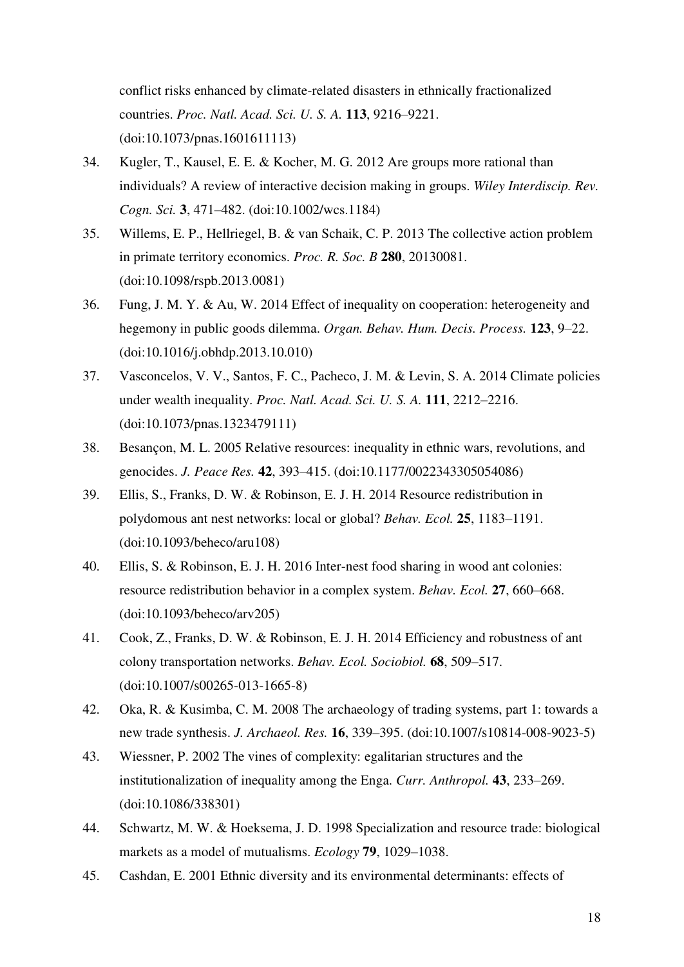conflict risks enhanced by climate-related disasters in ethnically fractionalized countries. *Proc. Natl. Acad. Sci. U. S. A.* **113**, 9216–9221. (doi:10.1073/pnas.1601611113)

- 34. Kugler, T., Kausel, E. E. & Kocher, M. G. 2012 Are groups more rational than individuals? A review of interactive decision making in groups. *Wiley Interdiscip. Rev. Cogn. Sci.* **3**, 471–482. (doi:10.1002/wcs.1184)
- 35. Willems, E. P., Hellriegel, B. & van Schaik, C. P. 2013 The collective action problem in primate territory economics. *Proc. R. Soc. B* **280**, 20130081. (doi:10.1098/rspb.2013.0081)
- 36. Fung, J. M. Y. & Au, W. 2014 Effect of inequality on cooperation: heterogeneity and hegemony in public goods dilemma. *Organ. Behav. Hum. Decis. Process.* **123**, 9–22. (doi:10.1016/j.obhdp.2013.10.010)
- 37. Vasconcelos, V. V., Santos, F. C., Pacheco, J. M. & Levin, S. A. 2014 Climate policies under wealth inequality. *Proc. Natl. Acad. Sci. U. S. A.* **111**, 2212–2216. (doi:10.1073/pnas.1323479111)
- 38. Besançon, M. L. 2005 Relative resources: inequality in ethnic wars, revolutions, and genocides. *J. Peace Res.* **42**, 393–415. (doi:10.1177/0022343305054086)
- 39. Ellis, S., Franks, D. W. & Robinson, E. J. H. 2014 Resource redistribution in polydomous ant nest networks: local or global? *Behav. Ecol.* **25**, 1183–1191. (doi:10.1093/beheco/aru108)
- 40. Ellis, S. & Robinson, E. J. H. 2016 Inter-nest food sharing in wood ant colonies: resource redistribution behavior in a complex system. *Behav. Ecol.* **27**, 660–668. (doi:10.1093/beheco/arv205)
- 41. Cook, Z., Franks, D. W. & Robinson, E. J. H. 2014 Efficiency and robustness of ant colony transportation networks. *Behav. Ecol. Sociobiol.* **68**, 509–517. (doi:10.1007/s00265-013-1665-8)
- 42. Oka, R. & Kusimba, C. M. 2008 The archaeology of trading systems, part 1: towards a new trade synthesis. *J. Archaeol. Res.* **16**, 339–395. (doi:10.1007/s10814-008-9023-5)
- 43. Wiessner, P. 2002 The vines of complexity: egalitarian structures and the institutionalization of inequality among the Enga. *Curr. Anthropol.* **43**, 233–269. (doi:10.1086/338301)
- 44. Schwartz, M. W. & Hoeksema, J. D. 1998 Specialization and resource trade: biological markets as a model of mutualisms. *Ecology* **79**, 1029–1038.
- 45. Cashdan, E. 2001 Ethnic diversity and its environmental determinants: effects of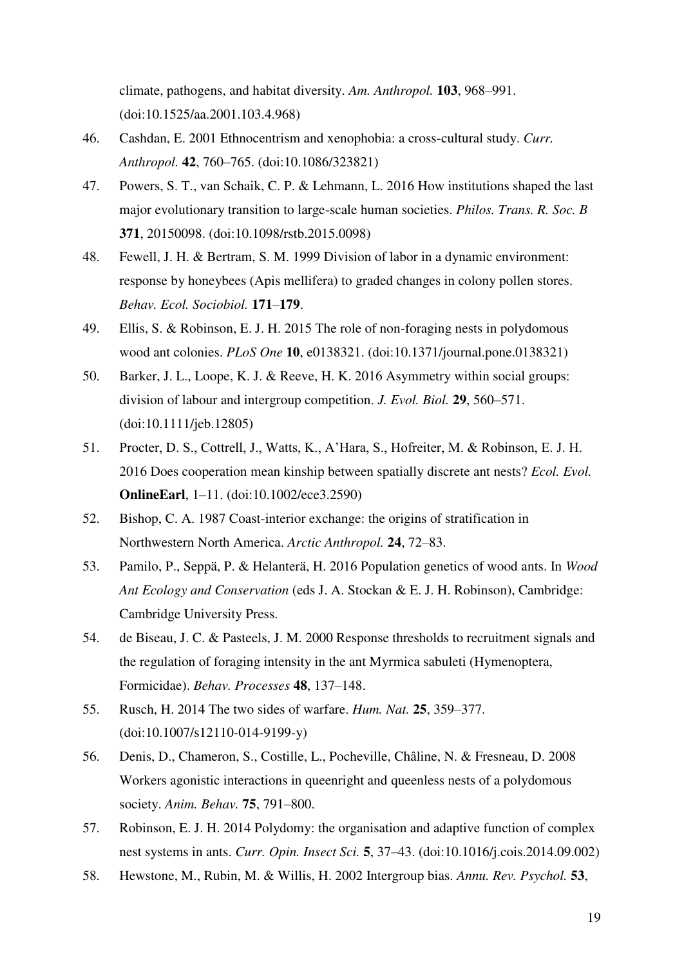climate, pathogens, and habitat diversity. *Am. Anthropol.* **103**, 968–991. (doi:10.1525/aa.2001.103.4.968)

- 46. Cashdan, E. 2001 Ethnocentrism and xenophobia: a cross-cultural study. *Curr. Anthropol.* **42**, 760–765. (doi:10.1086/323821)
- 47. Powers, S. T., van Schaik, C. P. & Lehmann, L. 2016 How institutions shaped the last major evolutionary transition to large-scale human societies. *Philos. Trans. R. Soc. B* **371**, 20150098. (doi:10.1098/rstb.2015.0098)
- 48. Fewell, J. H. & Bertram, S. M. 1999 Division of labor in a dynamic environment: response by honeybees (Apis mellifera) to graded changes in colony pollen stores. *Behav. Ecol. Sociobiol.* **171**–**179**.
- 49. Ellis, S. & Robinson, E. J. H. 2015 The role of non-foraging nests in polydomous wood ant colonies. *PLoS One* **10**, e0138321. (doi:10.1371/journal.pone.0138321)
- 50. Barker, J. L., Loope, K. J. & Reeve, H. K. 2016 Asymmetry within social groups: division of labour and intergroup competition. *J. Evol. Biol.* **29**, 560–571. (doi:10.1111/jeb.12805)
- 51. Procter, D. S., Cottrell, J., Watts, K., A'Hara, S., Hofreiter, M. & Robinson, E. J. H. 2016 Does cooperation mean kinship between spatially discrete ant nests? *Ecol. Evol.* **OnlineEarl**, 1–11. (doi:10.1002/ece3.2590)
- 52. Bishop, C. A. 1987 Coast-interior exchange: the origins of stratification in Northwestern North America. *Arctic Anthropol.* **24**, 72–83.
- 53. Pamilo, P., Seppä, P. & Helanterä, H. 2016 Population genetics of wood ants. In *Wood Ant Ecology and Conservation* (eds J. A. Stockan & E. J. H. Robinson), Cambridge: Cambridge University Press.
- 54. de Biseau, J. C. & Pasteels, J. M. 2000 Response thresholds to recruitment signals and the regulation of foraging intensity in the ant Myrmica sabuleti (Hymenoptera, Formicidae). *Behav. Processes* **48**, 137–148.
- 55. Rusch, H. 2014 The two sides of warfare. *Hum. Nat.* **25**, 359–377. (doi:10.1007/s12110-014-9199-y)
- 56. Denis, D., Chameron, S., Costille, L., Pocheville, Châline, N. & Fresneau, D. 2008 Workers agonistic interactions in queenright and queenless nests of a polydomous society. *Anim. Behav.* **75**, 791–800.
- 57. Robinson, E. J. H. 2014 Polydomy: the organisation and adaptive function of complex nest systems in ants. *Curr. Opin. Insect Sci.* **5**, 37–43. (doi:10.1016/j.cois.2014.09.002)
- 58. Hewstone, M., Rubin, M. & Willis, H. 2002 Intergroup bias. *Annu. Rev. Psychol.* **53**,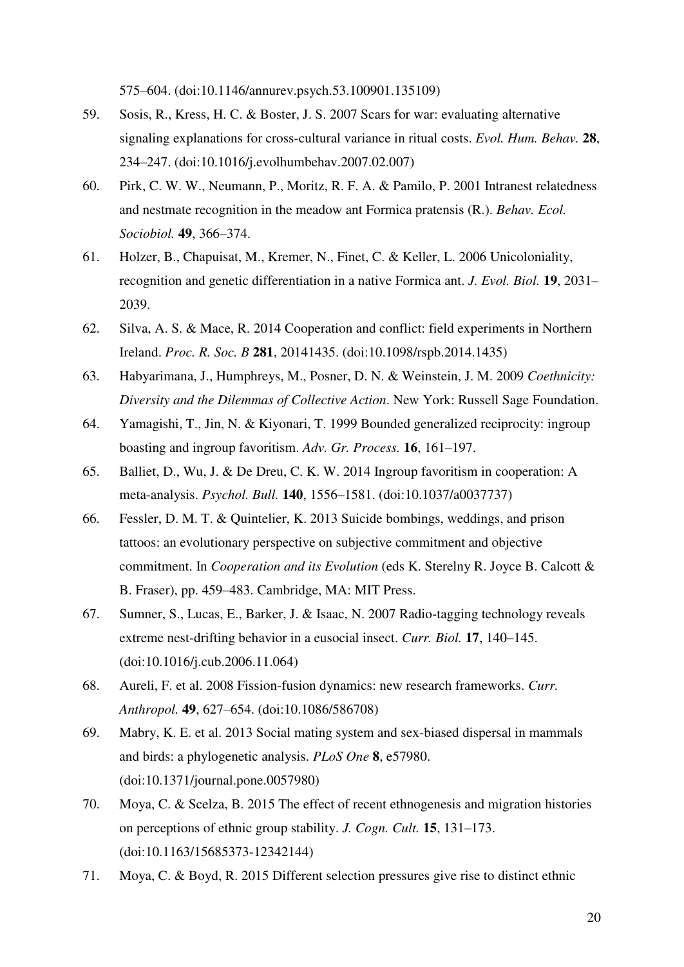575–604. (doi:10.1146/annurev.psych.53.100901.135109)

- 59. Sosis, R., Kress, H. C. & Boster, J. S. 2007 Scars for war: evaluating alternative signaling explanations for cross-cultural variance in ritual costs. *Evol. Hum. Behav.* **28**, 234–247. (doi:10.1016/j.evolhumbehav.2007.02.007)
- 60. Pirk, C. W. W., Neumann, P., Moritz, R. F. A. & Pamilo, P. 2001 Intranest relatedness and nestmate recognition in the meadow ant Formica pratensis (R.). *Behav. Ecol. Sociobiol.* **49**, 366–374.
- 61. Holzer, B., Chapuisat, M., Kremer, N., Finet, C. & Keller, L. 2006 Unicoloniality, recognition and genetic differentiation in a native Formica ant. *J. Evol. Biol.* **19**, 2031– 2039.
- 62. Silva, A. S. & Mace, R. 2014 Cooperation and conflict: field experiments in Northern Ireland. *Proc. R. Soc. B* **281**, 20141435. (doi:10.1098/rspb.2014.1435)
- 63. Habyarimana, J., Humphreys, M., Posner, D. N. & Weinstein, J. M. 2009 *Coethnicity: Diversity and the Dilemmas of Collective Action*. New York: Russell Sage Foundation.
- 64. Yamagishi, T., Jin, N. & Kiyonari, T. 1999 Bounded generalized reciprocity: ingroup boasting and ingroup favoritism. *Adv. Gr. Process.* **16**, 161–197.
- 65. Balliet, D., Wu, J. & De Dreu, C. K. W. 2014 Ingroup favoritism in cooperation: A meta-analysis. *Psychol. Bull.* **140**, 1556–1581. (doi:10.1037/a0037737)
- 66. Fessler, D. M. T. & Quintelier, K. 2013 Suicide bombings, weddings, and prison tattoos: an evolutionary perspective on subjective commitment and objective commitment. In *Cooperation and its Evolution* (eds K. Sterelny R. Joyce B. Calcott & B. Fraser), pp. 459–483. Cambridge, MA: MIT Press.
- 67. Sumner, S., Lucas, E., Barker, J. & Isaac, N. 2007 Radio-tagging technology reveals extreme nest-drifting behavior in a eusocial insect. *Curr. Biol.* **17**, 140–145. (doi:10.1016/j.cub.2006.11.064)
- 68. Aureli, F. et al. 2008 Fission-fusion dynamics: new research frameworks. *Curr. Anthropol.* **49**, 627–654. (doi:10.1086/586708)
- 69. Mabry, K. E. et al. 2013 Social mating system and sex-biased dispersal in mammals and birds: a phylogenetic analysis. *PLoS One* **8**, e57980. (doi:10.1371/journal.pone.0057980)
- 70. Moya, C. & Scelza, B. 2015 The effect of recent ethnogenesis and migration histories on perceptions of ethnic group stability. *J. Cogn. Cult.* **15**, 131–173. (doi:10.1163/15685373-12342144)
- 71. Moya, C. & Boyd, R. 2015 Different selection pressures give rise to distinct ethnic